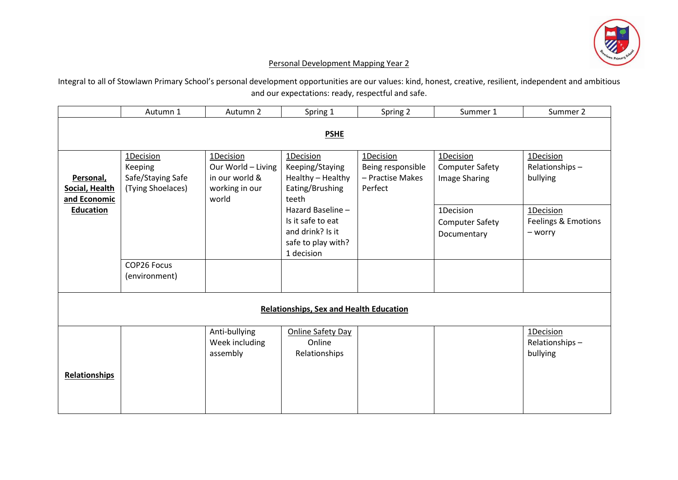

## Personal Development Mapping Year 2

Integral to all of Stowlawn Primary School's personal development opportunities are our values: kind, honest, creative, resilient, independent and ambitious and our expectations: ready, respectful and safe.

|                                                | Autumn 1                                                       | Autumn 2                                                                     | Spring 1                                                                                       | Spring 2                                                      | Summer 1                                             | Summer 2                                    |  |  |
|------------------------------------------------|----------------------------------------------------------------|------------------------------------------------------------------------------|------------------------------------------------------------------------------------------------|---------------------------------------------------------------|------------------------------------------------------|---------------------------------------------|--|--|
| <b>PSHE</b>                                    |                                                                |                                                                              |                                                                                                |                                                               |                                                      |                                             |  |  |
| Personal,<br>Social, Health<br>and Economic    | 1Decision<br>Keeping<br>Safe/Staying Safe<br>(Tying Shoelaces) | 1Decision<br>Our World - Living<br>in our world &<br>working in our<br>world | 1Decision<br>Keeping/Staying<br>Healthy - Healthy<br>Eating/Brushing<br>teeth                  | 1Decision<br>Being responsible<br>- Practise Makes<br>Perfect | 1Decision<br><b>Computer Safety</b><br>Image Sharing | 1Decision<br>Relationships-<br>bullying     |  |  |
| <b>Education</b>                               |                                                                |                                                                              | Hazard Baseline -<br>Is it safe to eat<br>and drink? Is it<br>safe to play with?<br>1 decision |                                                               | 1Decision<br>Computer Safety<br>Documentary          | 1Decision<br>Feelings & Emotions<br>- worry |  |  |
|                                                | COP26 Focus<br>(environment)                                   |                                                                              |                                                                                                |                                                               |                                                      |                                             |  |  |
| <b>Relationships, Sex and Health Education</b> |                                                                |                                                                              |                                                                                                |                                                               |                                                      |                                             |  |  |
| <b>Relationships</b>                           |                                                                | Anti-bullying<br>Week including<br>assembly                                  | Online Safety Day<br>Online<br>Relationships                                                   |                                                               |                                                      | 1Decision<br>Relationships-<br>bullying     |  |  |
|                                                |                                                                |                                                                              |                                                                                                |                                                               |                                                      |                                             |  |  |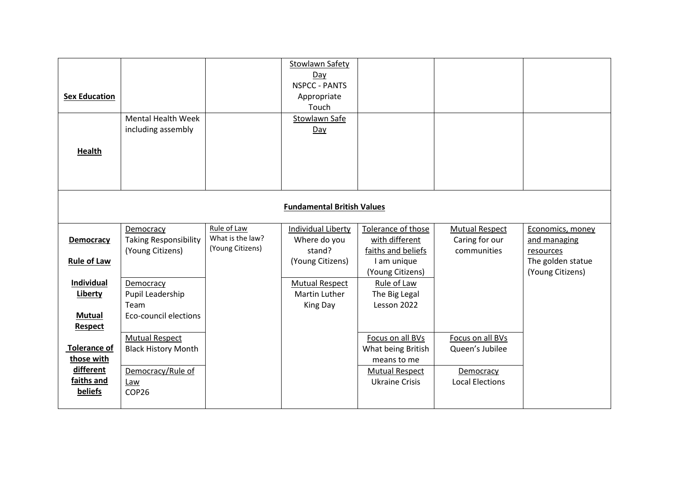| <b>Sex Education</b><br><b>Health</b>                                                     | <b>Mental Health Week</b><br>including assembly                                          |                                                     | Stowlawn Safety<br>Day<br><b>NSPCC - PANTS</b><br>Appropriate<br>Touch<br>Stowlawn Safe<br>Day |                                                                                                         |                                                                            |                                                                                        |  |
|-------------------------------------------------------------------------------------------|------------------------------------------------------------------------------------------|-----------------------------------------------------|------------------------------------------------------------------------------------------------|---------------------------------------------------------------------------------------------------------|----------------------------------------------------------------------------|----------------------------------------------------------------------------------------|--|
| <b>Fundamental British Values</b>                                                         |                                                                                          |                                                     |                                                                                                |                                                                                                         |                                                                            |                                                                                        |  |
| Democracy<br><b>Rule of Law</b>                                                           | Democracy<br><b>Taking Responsibility</b><br>(Young Citizens)                            | Rule of Law<br>What is the law?<br>(Young Citizens) | Individual Liberty<br>Where do you<br>stand?<br>(Young Citizens)                               | Tolerance of those<br>with different<br>faiths and beliefs<br>I am unique<br>(Young Citizens)           | <b>Mutual Respect</b><br>Caring for our<br>communities                     | Economics, money<br>and managing<br>resources<br>The golden statue<br>(Young Citizens) |  |
| Individual<br>Liberty<br><b>Mutual</b>                                                    | Democracy<br>Pupil Leadership<br>Team<br><b>Eco-council elections</b>                    |                                                     | <b>Mutual Respect</b><br>Martin Luther<br>King Day                                             | Rule of Law<br>The Big Legal<br>Lesson 2022                                                             |                                                                            |                                                                                        |  |
| <b>Respect</b><br><b>Tolerance of</b><br>those with<br>different<br>faiths and<br>beliefs | <b>Mutual Respect</b><br><b>Black History Month</b><br>Democracy/Rule of<br>Law<br>COP26 |                                                     |                                                                                                | Focus on all BVs<br>What being British<br>means to me<br><b>Mutual Respect</b><br><b>Ukraine Crisis</b> | Focus on all BVs<br>Queen's Jubilee<br>Democracy<br><b>Local Elections</b> |                                                                                        |  |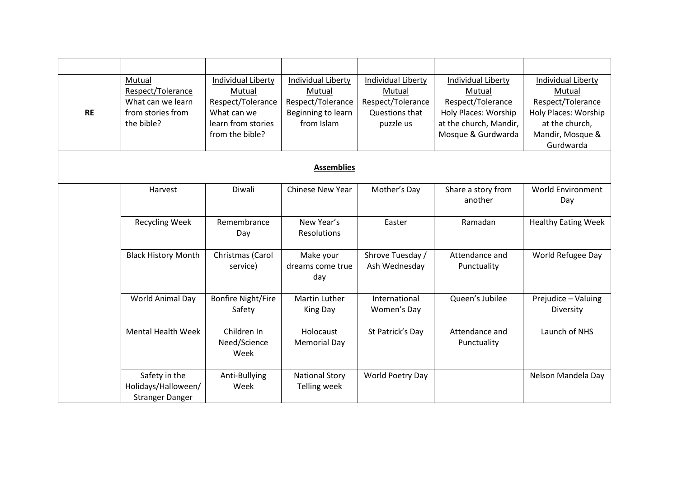| <b>RE</b>         | Mutual<br>Respect/Tolerance<br>What can we learn<br>from stories from<br>the bible? | Individual Liberty<br>Mutual<br>Respect/Tolerance<br>What can we<br>learn from stories<br>from the bible? | Individual Liberty<br>Mutual<br>Respect/Tolerance<br>Beginning to learn<br>from Islam | Individual Liberty<br>Mutual<br>Respect/Tolerance<br>Questions that<br>puzzle us | Individual Liberty<br>Mutual<br>Respect/Tolerance<br>Holy Places: Worship<br>at the church, Mandir,<br>Mosque & Gurdwarda | Individual Liberty<br>Mutual<br>Respect/Tolerance<br>Holy Places: Worship<br>at the church,<br>Mandir, Mosque &<br>Gurdwarda |  |  |
|-------------------|-------------------------------------------------------------------------------------|-----------------------------------------------------------------------------------------------------------|---------------------------------------------------------------------------------------|----------------------------------------------------------------------------------|---------------------------------------------------------------------------------------------------------------------------|------------------------------------------------------------------------------------------------------------------------------|--|--|
| <b>Assemblies</b> |                                                                                     |                                                                                                           |                                                                                       |                                                                                  |                                                                                                                           |                                                                                                                              |  |  |
|                   | Harvest                                                                             | Diwali                                                                                                    | <b>Chinese New Year</b>                                                               | Mother's Day                                                                     | Share a story from<br>another                                                                                             | <b>World Environment</b><br>Day                                                                                              |  |  |
|                   | <b>Recycling Week</b>                                                               | Remembrance<br>Day                                                                                        | New Year's<br>Resolutions                                                             | Easter                                                                           | Ramadan                                                                                                                   | <b>Healthy Eating Week</b>                                                                                                   |  |  |
|                   | <b>Black History Month</b>                                                          | Christmas (Carol<br>service)                                                                              | Make your<br>dreams come true<br>day                                                  | Shrove Tuesday /<br>Ash Wednesday                                                | Attendance and<br>Punctuality                                                                                             | World Refugee Day                                                                                                            |  |  |
|                   | World Animal Day                                                                    | <b>Bonfire Night/Fire</b><br>Safety                                                                       | <b>Martin Luther</b><br>King Day                                                      | International<br>Women's Day                                                     | Queen's Jubilee                                                                                                           | Prejudice - Valuing<br>Diversity                                                                                             |  |  |
|                   | <b>Mental Health Week</b>                                                           | Children In<br>Need/Science<br>Week                                                                       | Holocaust<br><b>Memorial Day</b>                                                      | St Patrick's Day                                                                 | Attendance and<br>Punctuality                                                                                             | Launch of NHS                                                                                                                |  |  |
|                   | Safety in the<br>Holidays/Halloween/<br><b>Stranger Danger</b>                      | Anti-Bullying<br>Week                                                                                     | <b>National Story</b><br><b>Telling week</b>                                          | World Poetry Day                                                                 |                                                                                                                           | Nelson Mandela Day                                                                                                           |  |  |